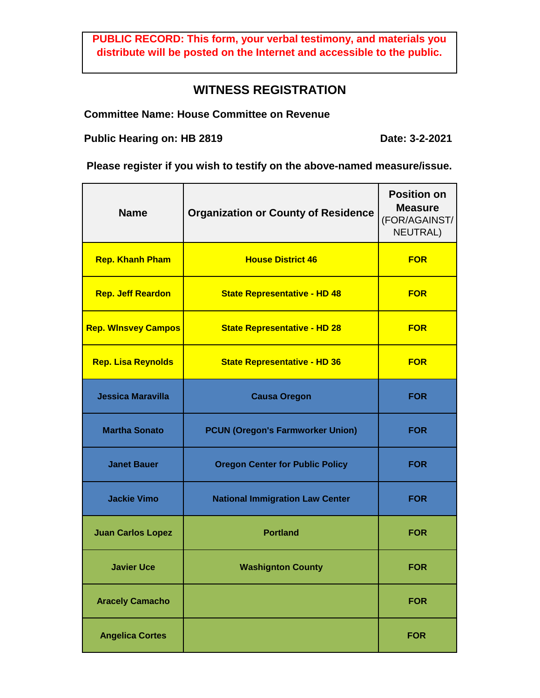**PUBLIC RECORD: This form, your verbal testimony, and materials you distribute will be posted on the Internet and accessible to the public.**

## **WITNESS REGISTRATION**

**Committee Name: House Committee on Revenue**

**Public Hearing on: HB 2819**

**Date: 3-2-2021**

**Please register if you wish to testify on the above-named measure/issue.**

| <b>Name</b>                | <b>Organization or County of Residence</b> | <b>Position on</b><br><b>Measure</b><br>(FOR/AGAINST/<br><b>NEUTRAL)</b> |
|----------------------------|--------------------------------------------|--------------------------------------------------------------------------|
| <b>Rep. Khanh Pham</b>     | <b>House District 46</b>                   | <b>FOR</b>                                                               |
| <b>Rep. Jeff Reardon</b>   | <b>State Representative - HD 48</b>        | <b>FOR</b>                                                               |
| <b>Rep. Winsvey Campos</b> | <b>State Representative - HD 28</b>        | <b>FOR</b>                                                               |
| <b>Rep. Lisa Reynolds</b>  | <b>State Representative - HD 36</b>        | <b>FOR</b>                                                               |
| <b>Jessica Maravilla</b>   | <b>Causa Oregon</b>                        | <b>FOR</b>                                                               |
| <b>Martha Sonato</b>       | <b>PCUN (Oregon's Farmworker Union)</b>    | <b>FOR</b>                                                               |
| <b>Janet Bauer</b>         | <b>Oregon Center for Public Policy</b>     | <b>FOR</b>                                                               |
| <b>Jackie Vimo</b>         | <b>National Immigration Law Center</b>     | <b>FOR</b>                                                               |
| <b>Juan Carlos Lopez</b>   | <b>Portland</b>                            | <b>FOR</b>                                                               |
| <b>Javier Uce</b>          | <b>Washignton County</b>                   | <b>FOR</b>                                                               |
| <b>Aracely Camacho</b>     |                                            | <b>FOR</b>                                                               |
| <b>Angelica Cortes</b>     |                                            | <b>FOR</b>                                                               |